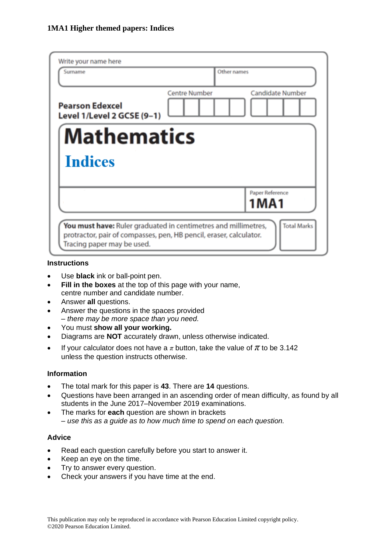| Write your name here                                                                                                                                                                     |                      |                         |  |  |
|------------------------------------------------------------------------------------------------------------------------------------------------------------------------------------------|----------------------|-------------------------|--|--|
| Surname                                                                                                                                                                                  | Other names          |                         |  |  |
| <b>Pearson Edexcel</b><br>Level 1/Level 2 GCSE (9-1)                                                                                                                                     | <b>Centre Number</b> | <b>Candidate Number</b> |  |  |
| <b>Mathematics</b>                                                                                                                                                                       |                      |                         |  |  |
| <b>Indices</b>                                                                                                                                                                           |                      |                         |  |  |
|                                                                                                                                                                                          |                      | Paper Reference         |  |  |
|                                                                                                                                                                                          |                      | <b>1MA1</b>             |  |  |
| <b>Total Marks</b><br>You must have: Ruler graduated in centimetres and millimetres,<br>protractor, pair of compasses, pen, HB pencil, eraser, calculator.<br>Tracing paper may be used. |                      |                         |  |  |

#### **Instructions**

- Use **black** ink or ball-point pen.
- **Fill in the boxes** at the top of this page with your name, centre number and candidate number.
- Answer **all** questions.
- Answer the questions in the spaces provided *– there may be more space than you need.*
- You must **show all your working.**
- Diagrams are **NOT** accurately drawn, unless otherwise indicated.
- If your calculator does not have a  $\pi$  button, take the value of  $\pi$  to be 3.142 unless the question instructs otherwise.

## **Information**

- The total mark for this paper is **43**. There are **14** questions.
- Questions have been arranged in an ascending order of mean difficulty, as found by all students in the June 2017–November 2019 examinations.
- The marks for **each** question are shown in brackets *– use this as a guide as to how much time to spend on each question.*

## **Advice**

- Read each question carefully before you start to answer it.
- Keep an eye on the time.
- Try to answer every question.
- Check your answers if you have time at the end.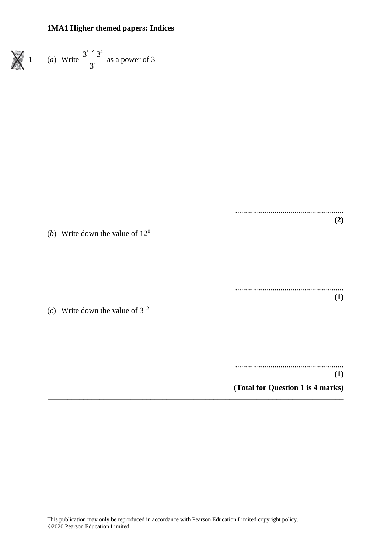

(*c*) Write down the value of  $3^{-2}$ 

(*b*) Write down the value of 12<sup>0</sup>

....................................................... **(1)**

.......................................................

**(2)**

....................................................... **(1)**

**(Total for Question 1 is 4 marks)**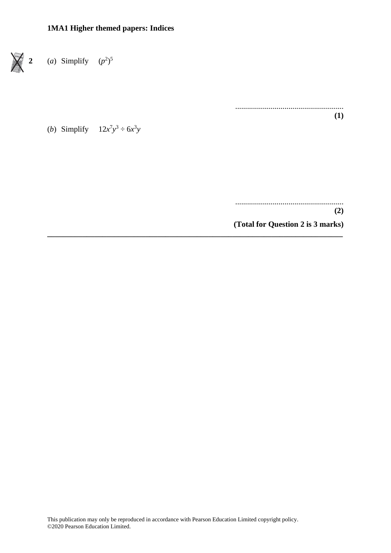

....................................................... **(1)**

(*b*) Simplify  $12x^7y^3 \div 6x^3y$ 

....................................................... **(2) (Total for Question 2 is 3 marks)**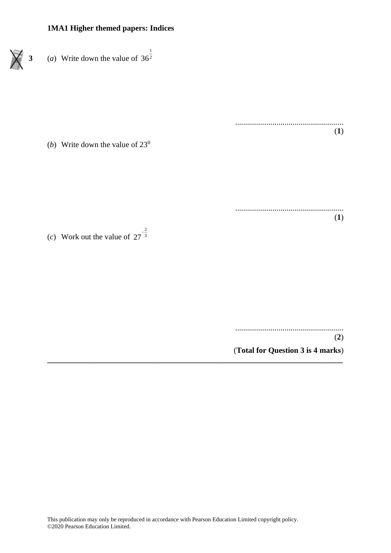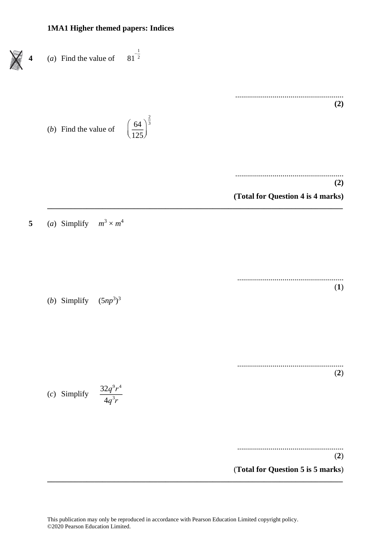This publication may only be reproduced in accordance with Pearson Education Limited copyright policy. ©2020 Pearson Education Limited.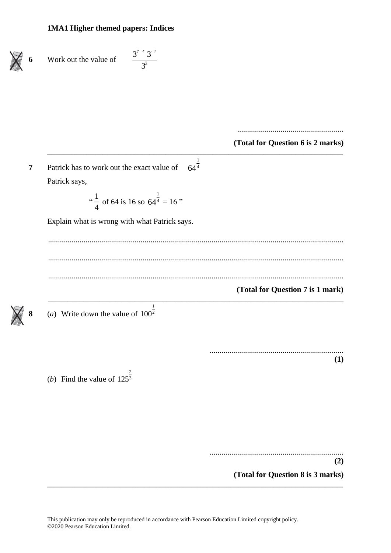| 6              | $3^{7}$ $3^{-2}$<br>Work out the value of                                                                                                                         |                                   |
|----------------|-------------------------------------------------------------------------------------------------------------------------------------------------------------------|-----------------------------------|
|                |                                                                                                                                                                   |                                   |
|                |                                                                                                                                                                   | (Total for Question 6 is 2 marks) |
| $\overline{7}$ | $64^{\frac{1}{4}}$<br>Patrick has to work out the exact value of<br>Patrick says,<br>" $\frac{1}{4}$ of 64 is 16 so 64 <sup><math>\frac{1}{4}</math></sup> = 16 " |                                   |
|                | Explain what is wrong with what Patrick says.                                                                                                                     |                                   |
|                |                                                                                                                                                                   | (Total for Question 7 is 1 mark)  |
| 8              | 1<br>(a) Write down the value of $100^{\frac{1}{2}}$                                                                                                              |                                   |
|                | 2<br>( <i>b</i> ) Find the value of $125^{\overline{3}}$                                                                                                          | (1)                               |
|                |                                                                                                                                                                   | (2)                               |
|                |                                                                                                                                                                   | (Total for Question 8 is 3 marks) |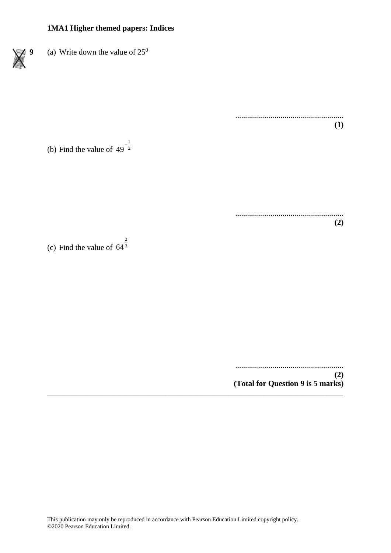**9** (a) Write down the value of  $25^{\circ}$ 

(b) Find the value of  $49<sup>2</sup>$ 1 49 −

2

(c) Find the value of  $64<sup>3</sup>$ 64

....................................................... **(2) (Total for Question 9 is 5 marks) \_\_\_\_\_\_\_\_\_\_\_\_\_\_\_\_\_\_\_\_\_\_\_\_\_\_\_\_\_\_\_\_\_\_\_\_\_\_\_\_\_\_\_\_\_\_\_\_\_\_\_\_\_\_\_\_\_\_\_\_\_\_\_\_\_\_\_\_\_\_\_\_\_\_\_**

.......................................................

.......................................................

**(1)**

**(2)**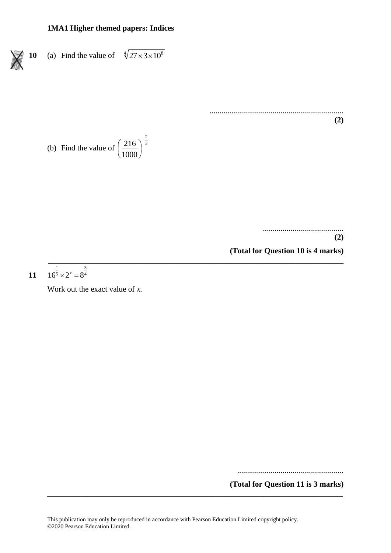10 (a) Find the value of 
$$
\sqrt[4]{27 \times 3 \times 10^8}
$$

.................................................................... **(2)**

(b) Find the value of 
$$
\left(\frac{216}{1000}\right)^{-\frac{2}{3}}
$$

.........................................

**(2)**

**(Total for Question 10 is 4 marks)**

11 
$$
16^{\frac{1}{5}} \times 2^x = 8^{\frac{3}{4}}
$$

Work out the exact value of *x.*

......................................................

**(Total for Question 11 is 3 marks)**

**\_\_\_\_\_\_\_\_\_\_\_\_\_\_\_\_\_\_\_\_\_\_\_\_\_\_\_\_\_\_\_\_\_\_\_\_\_\_\_\_\_\_\_\_\_\_\_\_\_\_\_\_\_\_\_\_\_\_\_\_\_\_\_\_\_\_\_\_\_\_\_\_\_\_\_**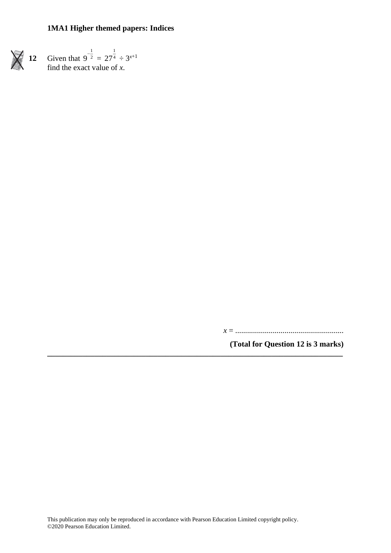**12** Given that 1  $9^{-2}$  =  $27^{\overline{4}} \div 3^{x+1}$ find the exact value of *x*.

*x* = .......................................................

**(Total for Question 12 is 3 marks)**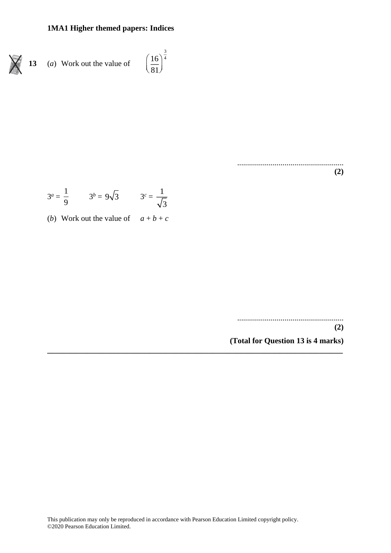$$
\bigtimes
$$

 $\left(\frac{16}{81}\right)^{\frac{3}{4}}$ (*a*) Work out the value of 13

> $(2)$

$$
3^a = \frac{1}{9}
$$
  $3^b = 9\sqrt{3}$   $3^c = \frac{1}{\sqrt{3}}$ 

(*b*) Work out the value of  $a+b+c$ 

 $(2)$ 

(Total for Question 13 is 4 marks)